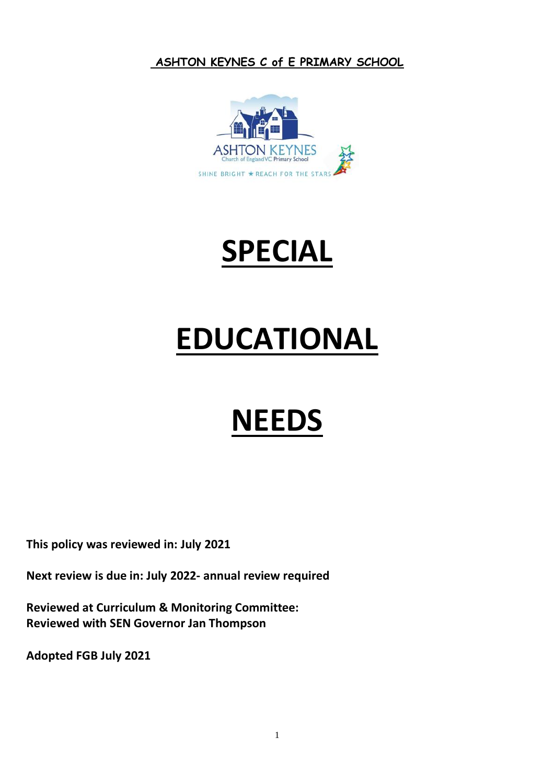**ASHTON KEYNES C of E PRIMARY SCHOOL**





# **EDUCATIONAL**

# **NEEDS**

**This policy was reviewed in: July 2021**

**Next review is due in: July 2022- annual review required**

**Reviewed at Curriculum & Monitoring Committee: Reviewed with SEN Governor Jan Thompson**

**Adopted FGB July 2021**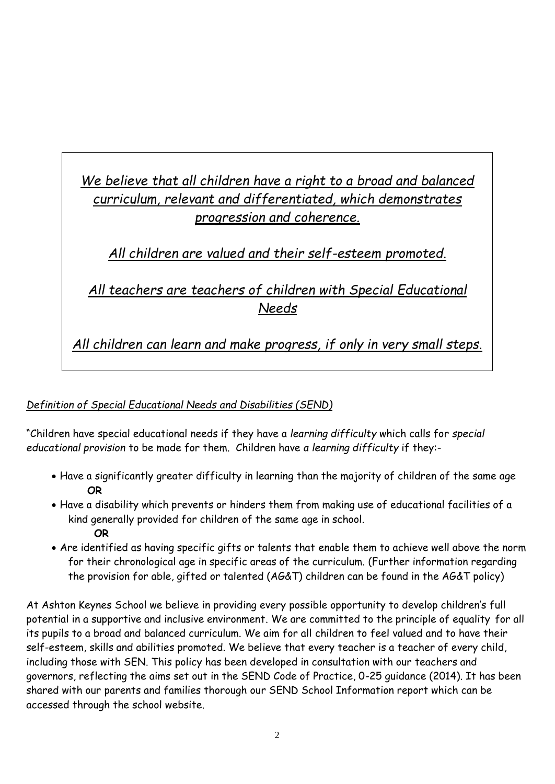# *We believe that all children have a right to a broad and balanced curriculum, relevant and differentiated, which demonstrates progression and coherence.*

# *All children are valued and their self-esteem promoted.*

*All teachers are teachers of children with Special Educational Needs*

*All children can learn and make progress, if only in very small steps.*

# *Definition of Special Educational Needs and Disabilities (SEND)*

"Children have special educational needs if they have a *learning difficulty* which calls for *special educational provision* to be made for them. Children have *a learning difficulty* if they:-

- Have a significantly greater difficulty in learning than the majority of children of the same age **OR**
- Have a disability which prevents or hinders them from making use of educational facilities of a kind generally provided for children of the same age in school. **OR**
- Are identified as having specific gifts or talents that enable them to achieve well above the norm for their chronological age in specific areas of the curriculum. (Further information regarding the provision for able, gifted or talented (AG&T) children can be found in the AG&T policy)

At Ashton Keynes School we believe in providing every possible opportunity to develop children's full potential in a supportive and inclusive environment. We are committed to the principle of equality for all its pupils to a broad and balanced curriculum. We aim for all children to feel valued and to have their self-esteem, skills and abilities promoted. We believe that every teacher is a teacher of every child, including those with SEN. This policy has been developed in consultation with our teachers and governors, reflecting the aims set out in the SEND Code of Practice, 0-25 guidance (2014). It has been shared with our parents and families thorough our SEND School Information report which can be accessed through the school website.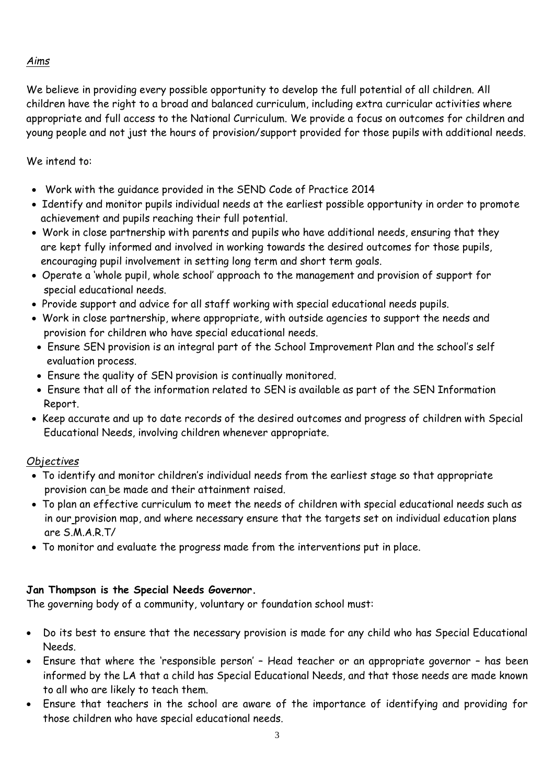# *Aims*

We believe in providing every possible opportunity to develop the full potential of all children. All children have the right to a broad and balanced curriculum, including extra curricular activities where appropriate and full access to the National Curriculum. We provide a focus on outcomes for children and young people and not just the hours of provision/support provided for those pupils with additional needs.

We intend to:

- Work with the guidance provided in the SEND Code of Practice 2014
- Identify and monitor pupils individual needs at the earliest possible opportunity in order to promote achievement and pupils reaching their full potential.
- Work in close partnership with parents and pupils who have additional needs, ensuring that they are kept fully informed and involved in working towards the desired outcomes for those pupils, encouraging pupil involvement in setting long term and short term goals.
- Operate a 'whole pupil, whole school' approach to the management and provision of support for special educational needs.
- Provide support and advice for all staff working with special educational needs pupils.
- Work in close partnership, where appropriate, with outside agencies to support the needs and provision for children who have special educational needs.
- Ensure SEN provision is an integral part of the School Improvement Plan and the school's self evaluation process.
- Ensure the quality of SEN provision is continually monitored.
- Ensure that all of the information related to SEN is available as part of the SEN Information Report.
- Keep accurate and up to date records of the desired outcomes and progress of children with Special Educational Needs, involving children whenever appropriate.

# *Objectives*

- To identify and monitor children's individual needs from the earliest stage so that appropriate provision can be made and their attainment raised.
- To plan an effective curriculum to meet the needs of children with special educational needs such as in our provision map, and where necessary ensure that the targets set on individual education plans are S.M.A.R.T/
- To monitor and evaluate the progress made from the interventions put in place.

# **Jan Thompson is the Special Needs Governor.**

The governing body of a community, voluntary or foundation school must:

- Do its best to ensure that the necessary provision is made for any child who has Special Educational Needs.
- Ensure that where the 'responsible person' Head teacher or an appropriate governor has been informed by the LA that a child has Special Educational Needs, and that those needs are made known to all who are likely to teach them.
- Ensure that teachers in the school are aware of the importance of identifying and providing for those children who have special educational needs.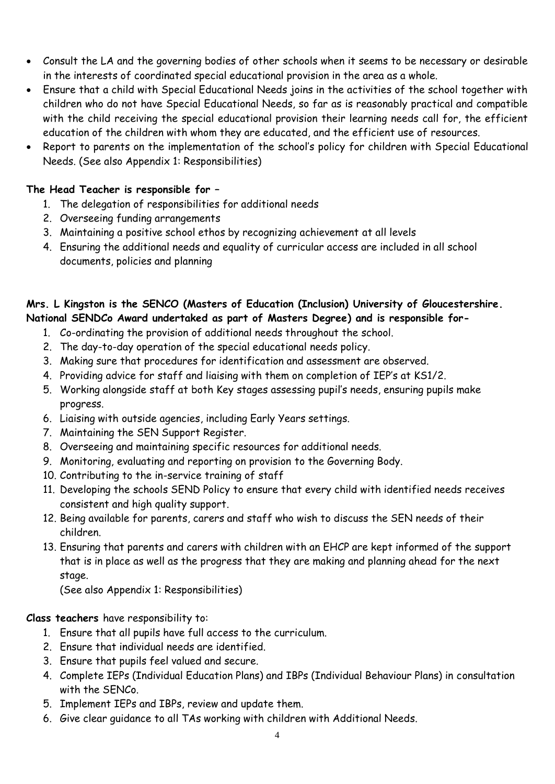- Consult the LA and the governing bodies of other schools when it seems to be necessary or desirable in the interests of coordinated special educational provision in the area as a whole.
- Ensure that a child with Special Educational Needs joins in the activities of the school together with children who do not have Special Educational Needs, so far as is reasonably practical and compatible with the child receiving the special educational provision their learning needs call for, the efficient education of the children with whom they are educated, and the efficient use of resources.
- Report to parents on the implementation of the school's policy for children with Special Educational Needs. (See also Appendix 1: Responsibilities)

## **The Head Teacher is responsible for –**

- 1. The delegation of responsibilities for additional needs
- 2. Overseeing funding arrangements
- 3. Maintaining a positive school ethos by recognizing achievement at all levels
- 4. Ensuring the additional needs and equality of curricular access are included in all school documents, policies and planning

#### **Mrs. L Kingston is the SENCO (Masters of Education (Inclusion) University of Gloucestershire. National SENDCo Award undertaked as part of Masters Degree) and is responsible for-**

- 1. Co-ordinating the provision of additional needs throughout the school.
- 2. The day-to-day operation of the special educational needs policy.
- 3. Making sure that procedures for identification and assessment are observed.
- 4. Providing advice for staff and liaising with them on completion of IEP's at KS1/2.
- 5. Working alongside staff at both Key stages assessing pupil's needs, ensuring pupils make progress.
- 6. Liaising with outside agencies, including Early Years settings.
- 7. Maintaining the SEN Support Register.
- 8. Overseeing and maintaining specific resources for additional needs.
- 9. Monitoring, evaluating and reporting on provision to the Governing Body.
- 10. Contributing to the in-service training of staff
- 11. Developing the schools SEND Policy to ensure that every child with identified needs receives consistent and high quality support.
- 12. Being available for parents, carers and staff who wish to discuss the SEN needs of their children.
- 13. Ensuring that parents and carers with children with an EHCP are kept informed of the support that is in place as well as the progress that they are making and planning ahead for the next stage.

(See also Appendix 1: Responsibilities)

# **Class teachers** have responsibility to:

- 1. Ensure that all pupils have full access to the curriculum.
- 2. Ensure that individual needs are identified.
- 3. Ensure that pupils feel valued and secure.
- 4. Complete IEPs (Individual Education Plans) and IBPs (Individual Behaviour Plans) in consultation with the SENCo.
- 5. Implement IEPs and IBPs, review and update them.
- 6. Give clear guidance to all TAs working with children with Additional Needs.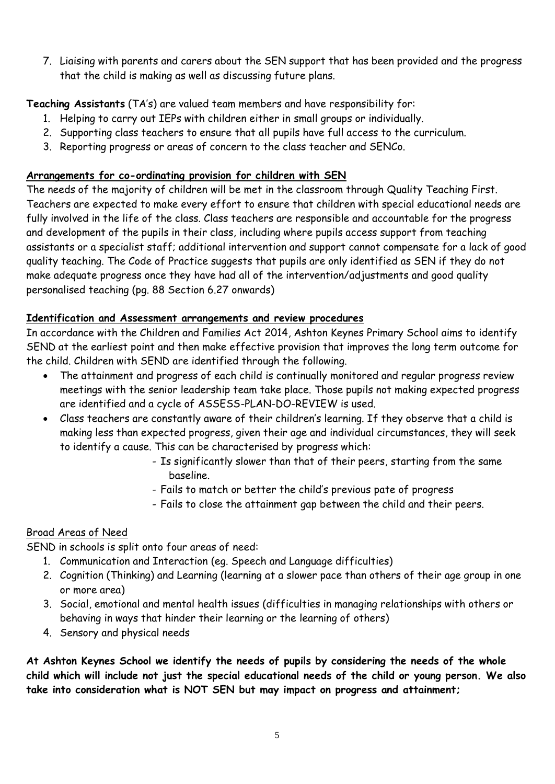7. Liaising with parents and carers about the SEN support that has been provided and the progress that the child is making as well as discussing future plans.

**Teaching Assistants** (TA's) are valued team members and have responsibility for:

- 1. Helping to carry out IEPs with children either in small groups or individually.
- 2. Supporting class teachers to ensure that all pupils have full access to the curriculum.
- 3. Reporting progress or areas of concern to the class teacher and SENCo.

# **Arrangements for co-ordinating provision for children with SEN**

The needs of the majority of children will be met in the classroom through Quality Teaching First. Teachers are expected to make every effort to ensure that children with special educational needs are fully involved in the life of the class. Class teachers are responsible and accountable for the progress and development of the pupils in their class, including where pupils access support from teaching assistants or a specialist staff; additional intervention and support cannot compensate for a lack of good quality teaching. The Code of Practice suggests that pupils are only identified as SEN if they do not make adequate progress once they have had all of the intervention/adjustments and good quality personalised teaching (pg. 88 Section 6.27 onwards)

# **Identification and Assessment arrangements and review procedures**

In accordance with the Children and Families Act 2014, Ashton Keynes Primary School aims to identify SEND at the earliest point and then make effective provision that improves the long term outcome for the child. Children with SEND are identified through the following.

- The attainment and progress of each child is continually monitored and regular progress review meetings with the senior leadership team take place. Those pupils not making expected progress are identified and a cycle of ASSESS-PLAN-DO-REVIEW is used.
- Class teachers are constantly aware of their children's learning. If they observe that a child is making less than expected progress, given their age and individual circumstances, they will seek to identify a cause. This can be characterised by progress which:
	- Is significantly slower than that of their peers, starting from the same baseline.
	- Fails to match or better the child's previous pate of progress
	- Fails to close the attainment gap between the child and their peers.

# Broad Areas of Need

SEND in schools is split onto four areas of need:

- 1. Communication and Interaction (eg. Speech and Language difficulties)
- 2. Cognition (Thinking) and Learning (learning at a slower pace than others of their age group in one or more area)
- 3. Social, emotional and mental health issues (difficulties in managing relationships with others or behaving in ways that hinder their learning or the learning of others)
- 4. Sensory and physical needs

**At Ashton Keynes School we identify the needs of pupils by considering the needs of the whole child which will include not just the special educational needs of the child or young person. We also take into consideration what is NOT SEN but may impact on progress and attainment;**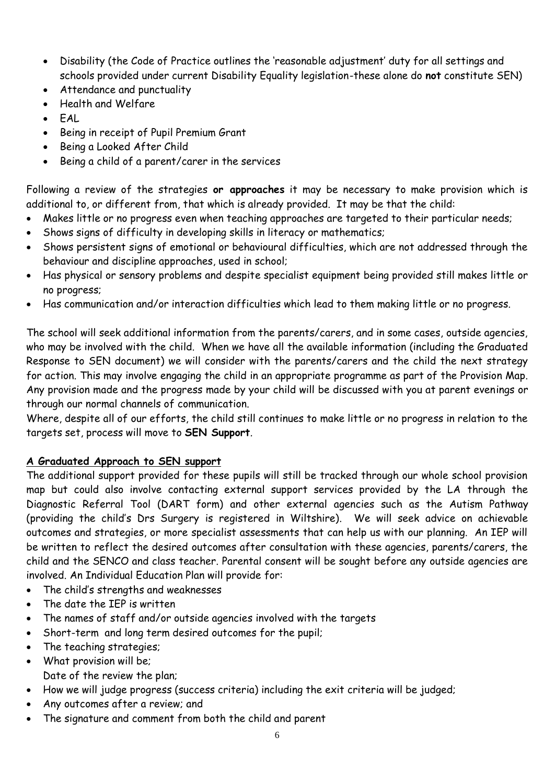- Disability (the Code of Practice outlines the 'reasonable adjustment' duty for all settings and schools provided under current Disability Equality legislation-these alone do **not** constitute SEN)
- Attendance and punctuality
- Health and Welfare
- EAL
- Being in receipt of Pupil Premium Grant
- Being a Looked After Child
- Being a child of a parent/carer in the services

Following a review of the strategies **or approaches** it may be necessary to make provision which is additional to, or different from, that which is already provided. It may be that the child:

- Makes little or no progress even when teaching approaches are targeted to their particular needs;
- Shows signs of difficulty in developing skills in literacy or mathematics;
- Shows persistent signs of emotional or behavioural difficulties, which are not addressed through the behaviour and discipline approaches, used in school;
- Has physical or sensory problems and despite specialist equipment being provided still makes little or no progress;
- Has communication and/or interaction difficulties which lead to them making little or no progress.

The school will seek additional information from the parents/carers, and in some cases, outside agencies, who may be involved with the child. When we have all the available information (including the Graduated Response to SEN document) we will consider with the parents/carers and the child the next strategy for action. This may involve engaging the child in an appropriate programme as part of the Provision Map. Any provision made and the progress made by your child will be discussed with you at parent evenings or through our normal channels of communication.

Where, despite all of our efforts, the child still continues to make little or no progress in relation to the targets set, process will move to **SEN Support***.*

# **A Graduated Approach to SEN support**

The additional support provided for these pupils will still be tracked through our whole school provision map but could also involve contacting external support services provided by the LA through the Diagnostic Referral Tool (DART form) and other external agencies such as the Autism Pathway (providing the child's Drs Surgery is registered in Wiltshire). We will seek advice on achievable outcomes and strategies, or more specialist assessments that can help us with our planning. An IEP will be written to reflect the desired outcomes after consultation with these agencies, parents/carers, the child and the SENCO and class teacher. Parental consent will be sought before any outside agencies are involved. An Individual Education Plan will provide for:

- The child's strengths and weaknesses
- The date the IEP is written
- The names of staff and/or outside agencies involved with the targets
- Short-term and long term desired outcomes for the pupil;
- The teaching strategies;
- What provision will be;
	- Date of the review the plan;
- How we will judge progress (success criteria) including the exit criteria will be judged;
- Any outcomes after a review; and
- The signature and comment from both the child and parent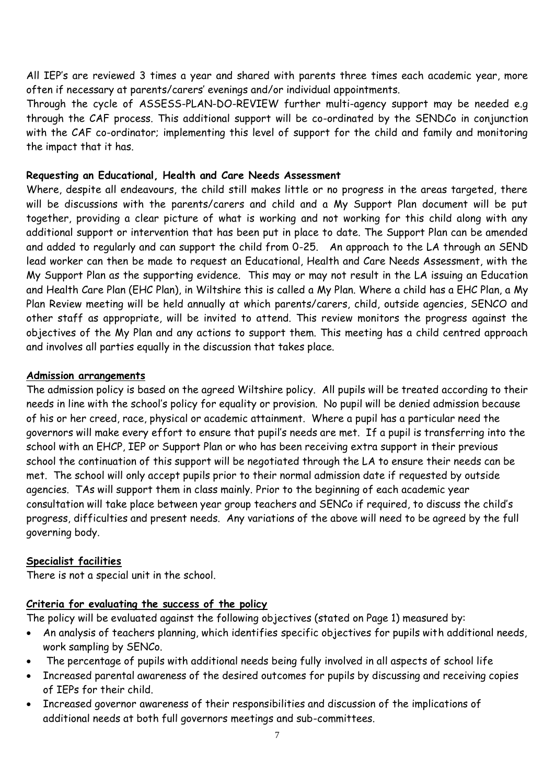All IEP's are reviewed 3 times a year and shared with parents three times each academic year, more often if necessary at parents/carers' evenings and/or individual appointments.

Through the cycle of ASSESS-PLAN-DO-REVIEW further multi-agency support may be needed e.g through the CAF process. This additional support will be co-ordinated by the SENDCo in conjunction with the CAF co-ordinator; implementing this level of support for the child and family and monitoring the impact that it has.

#### **Requesting an Educational, Health and Care Needs Assessment**

Where, despite all endeavours, the child still makes little or no progress in the areas targeted, there will be discussions with the parents/carers and child and a My Support Plan document will be put together, providing a clear picture of what is working and not working for this child along with any additional support or intervention that has been put in place to date. The Support Plan can be amended and added to regularly and can support the child from 0-25. An approach to the LA through an SEND lead worker can then be made to request an Educational, Health and Care Needs Assessment, with the My Support Plan as the supporting evidence. This may or may not result in the LA issuing an Education and Health Care Plan (EHC Plan), in Wiltshire this is called a My Plan. Where a child has a EHC Plan, a My Plan Review meeting will be held annually at which parents/carers, child, outside agencies, SENCO and other staff as appropriate, will be invited to attend. This review monitors the progress against the objectives of the My Plan and any actions to support them. This meeting has a child centred approach and involves all parties equally in the discussion that takes place.

#### **Admission arrangements**

The admission policy is based on the agreed Wiltshire policy. All pupils will be treated according to their needs in line with the school's policy for equality or provision. No pupil will be denied admission because of his or her creed, race, physical or academic attainment. Where a pupil has a particular need the governors will make every effort to ensure that pupil's needs are met. If a pupil is transferring into the school with an EHCP, IEP or Support Plan or who has been receiving extra support in their previous school the continuation of this support will be negotiated through the LA to ensure their needs can be met. The school will only accept pupils prior to their normal admission date if requested by outside agencies. TAs will support them in class mainly. Prior to the beginning of each academic year consultation will take place between year group teachers and SENCo if required, to discuss the child's progress, difficulties and present needs. Any variations of the above will need to be agreed by the full governing body.

#### **Specialist facilities**

There is not a special unit in the school.

#### **Criteria for evaluating the success of the policy**

The policy will be evaluated against the following objectives (stated on Page 1) measured by:

- An analysis of teachers planning, which identifies specific objectives for pupils with additional needs, work sampling by SENCo.
- The percentage of pupils with additional needs being fully involved in all aspects of school life
- Increased parental awareness of the desired outcomes for pupils by discussing and receiving copies of IEPs for their child.
- Increased governor awareness of their responsibilities and discussion of the implications of additional needs at both full governors meetings and sub-committees.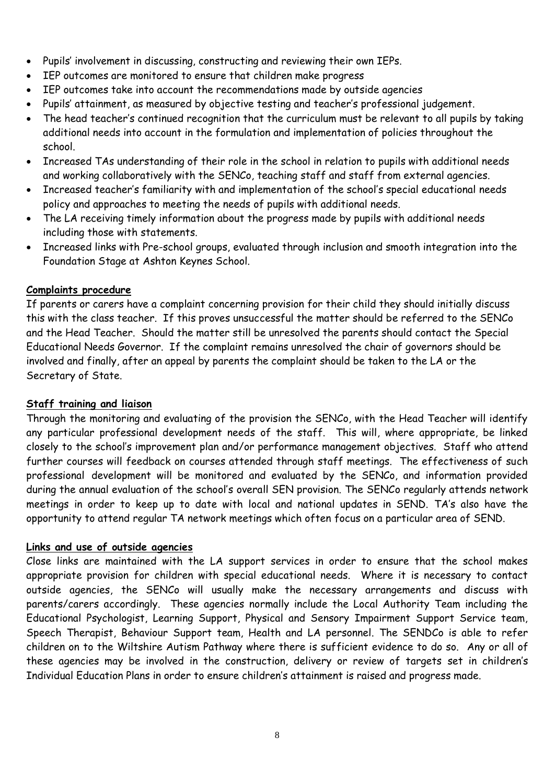- Pupils' involvement in discussing, constructing and reviewing their own IEPs.
- IEP outcomes are monitored to ensure that children make progress
- IEP outcomes take into account the recommendations made by outside agencies
- Pupils' attainment, as measured by objective testing and teacher's professional judgement.
- The head teacher's continued recognition that the curriculum must be relevant to all pupils by taking additional needs into account in the formulation and implementation of policies throughout the school.
- Increased TAs understanding of their role in the school in relation to pupils with additional needs and working collaboratively with the SENCo, teaching staff and staff from external agencies.
- Increased teacher's familiarity with and implementation of the school's special educational needs policy and approaches to meeting the needs of pupils with additional needs.
- The LA receiving timely information about the progress made by pupils with additional needs including those with statements.
- Increased links with Pre-school groups, evaluated through inclusion and smooth integration into the Foundation Stage at Ashton Keynes School.

#### **Complaints procedure**

If parents or carers have a complaint concerning provision for their child they should initially discuss this with the class teacher. If this proves unsuccessful the matter should be referred to the SENCo and the Head Teacher. Should the matter still be unresolved the parents should contact the Special Educational Needs Governor. If the complaint remains unresolved the chair of governors should be involved and finally, after an appeal by parents the complaint should be taken to the LA or the Secretary of State.

#### **Staff training and liaison**

Through the monitoring and evaluating of the provision the SENCo, with the Head Teacher will identify any particular professional development needs of the staff. This will, where appropriate, be linked closely to the school's improvement plan and/or performance management objectives. Staff who attend further courses will feedback on courses attended through staff meetings. The effectiveness of such professional development will be monitored and evaluated by the SENCo, and information provided during the annual evaluation of the school's overall SEN provision. The SENCo regularly attends network meetings in order to keep up to date with local and national updates in SEND. TA's also have the opportunity to attend regular TA network meetings which often focus on a particular area of SEND.

#### **Links and use of outside agencies**

Close links are maintained with the LA support services in order to ensure that the school makes appropriate provision for children with special educational needs. Where it is necessary to contact outside agencies, the SENCo will usually make the necessary arrangements and discuss with parents/carers accordingly. These agencies normally include the Local Authority Team including the Educational Psychologist, Learning Support, Physical and Sensory Impairment Support Service team, Speech Therapist, Behaviour Support team, Health and LA personnel. The SENDCo is able to refer children on to the Wiltshire Autism Pathway where there is sufficient evidence to do so. Any or all of these agencies may be involved in the construction, delivery or review of targets set in children's Individual Education Plans in order to ensure children's attainment is raised and progress made.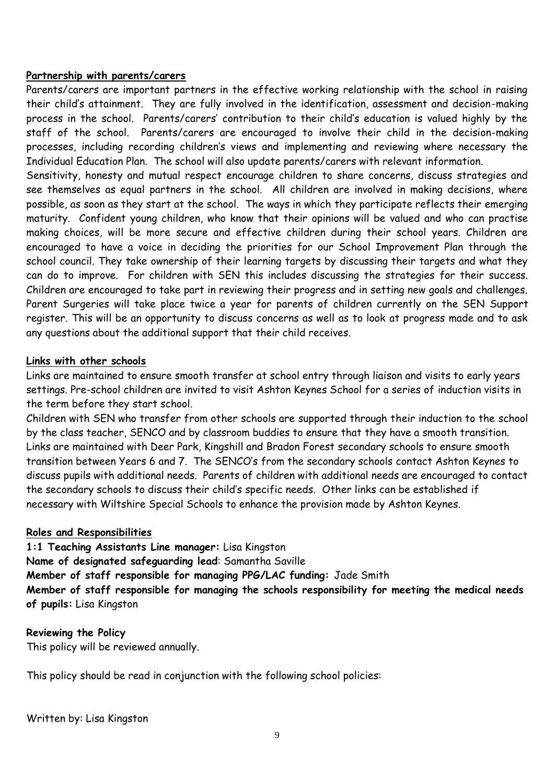#### **Partnership with parents/carers**

Parents/carers are important partners in the effective working relationship with the school in raising their child's attainment. They are fully involved in the identification, assessment and decision-making process in the school. Parents/carers' contribution to their child's education is valued highly by the staff of the school. Parents/carers are encouraged to involve their child in the decision-making processes, including recording children's views and implementing and reviewing where necessary the Individual Education Plan. The school will also update parents/carers with relevant information.

Sensitivity, honesty and mutual respect encourage children to share concerns, discuss strategies and see themselves as equal partners in the school. All children are involved in making decisions, where possible, as soon as they start at the school. The ways in which they participate reflects their emerging maturity. Confident young children, who know that their opinions will be valued and who can practise making choices, will be more secure and effective children during their school years. Children are encouraged to have a voice in deciding the priorities for our School Improvement Plan through the school council. They take ownership of their learning targets by discussing their targets and what they can do to improve. For children with SEN this includes discussing the strategies for their success. Children are encouraged to take part in reviewing their progress and in setting new goals and challenges. Parent Surgeries will take place twice a year for parents of children currently on the SEN Support register. This will be an opportunity to discuss concerns as well as to look at progress made and to ask any questions about the additional support that their child receives.

#### **Links with other schools**

Links are maintained to ensure smooth transfer at school entry through liaison and visits to early years settings. Pre-school children are invited to visit Ashton Keynes School for a series of induction visits in the term before they start school.

Children with SEN who transfer from other schools are supported through their induction to the school by the class teacher, SENCO and by classroom buddies to ensure that they have a smooth transition. Links are maintained with Deer Park, Kingshill and Bradon Forest secondary schools to ensure smooth transition between Years 6 and 7. The SENCO's from the secondary schools contact Ashton Keynes to discuss pupils with additional needs. Parents of children with additional needs are encouraged to contact the secondary schools to discuss their child's specific needs. Other links can be established if necessary with Wiltshire Special Schools to enhance the provision made by Ashton Keynes.

#### **Roles and Responsibilities**

**1:1 Teaching Assistants Line manager:** Lisa Kingston

**Name of designated safeguarding lead**: Samantha Saville

**Member of staff responsible for managing PPG/LAC funding:** Jade Smith

**Member of staff responsible for managing the schools responsibility for meeting the medical needs of pupils:** Lisa Kingston

#### **Reviewing the Policy**

This policy will be reviewed annually.

This policy should be read in conjunction with the following school policies:

Written by: Lisa Kingston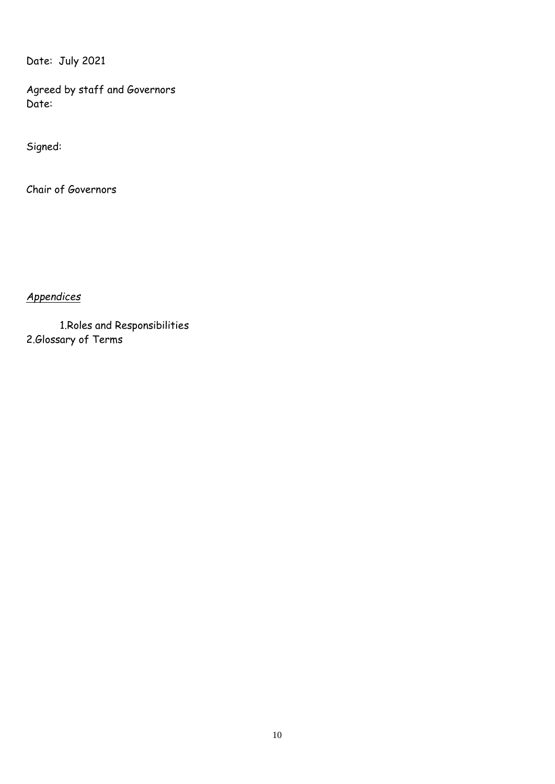Date: July 2021

Agreed by staff and Governors Date:

Signed:

Chair of Governors

*Appendices*

1.Roles and Responsibilities 2.Glossary of Terms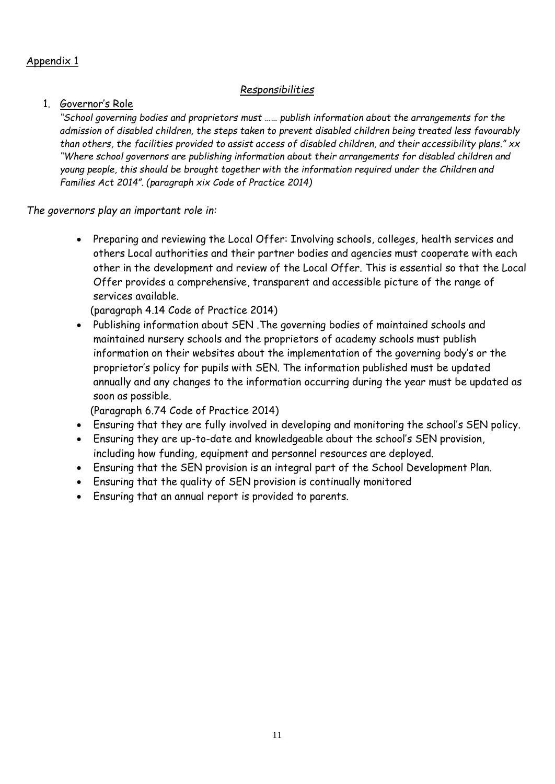# Appendix 1

#### *Responsibilities*

#### 1. Governor's Role

*"School governing bodies and proprietors must …… publish information about the arrangements for the admission of disabled children, the steps taken to prevent disabled children being treated less favourably than others, the facilities provided to assist access of disabled children, and their accessibility plans." xx "Where school governors are publishing information about their arrangements for disabled children and young people, this should be brought together with the information required under the Children and Families Act 2014". (paragraph xix Code of Practice 2014)*

### *The governors play an important role in:*

• Preparing and reviewing the Local Offer: Involving schools, colleges, health services and others Local authorities and their partner bodies and agencies must cooperate with each other in the development and review of the Local Offer. This is essential so that the Local Offer provides a comprehensive, transparent and accessible picture of the range of services available.

(paragraph 4.14 Code of Practice 2014)

• Publishing information about SEN .The governing bodies of maintained schools and maintained nursery schools and the proprietors of academy schools must publish information on their websites about the implementation of the governing body's or the proprietor's policy for pupils with SEN. The information published must be updated annually and any changes to the information occurring during the year must be updated as soon as possible.

(Paragraph 6.74 Code of Practice 2014)

- Ensuring that they are fully involved in developing and monitoring the school's SEN policy.
- Ensuring they are up-to-date and knowledgeable about the school's SEN provision, including how funding, equipment and personnel resources are deployed.
- Ensuring that the SEN provision is an integral part of the School Development Plan.
- Ensuring that the quality of SEN provision is continually monitored
- Ensuring that an annual report is provided to parents.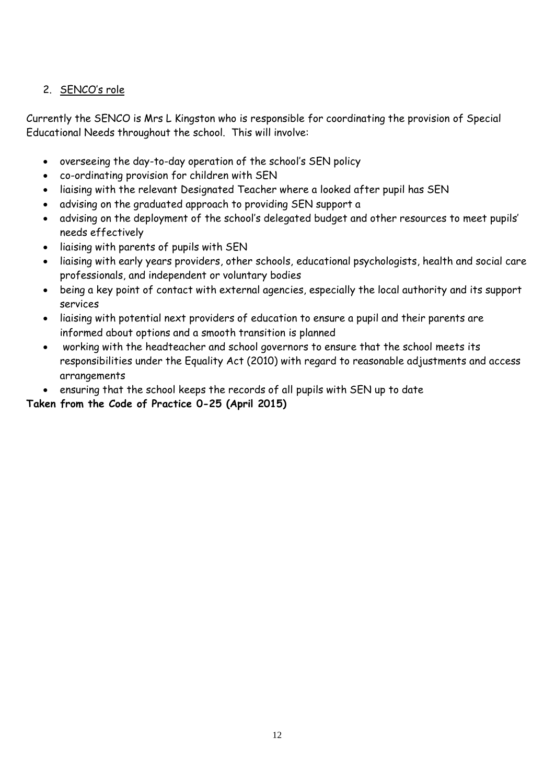# 2. SENCO's role

Currently the SENCO is Mrs L Kingston who is responsible for coordinating the provision of Special Educational Needs throughout the school. This will involve:

- overseeing the day-to-day operation of the school's SEN policy
- co-ordinating provision for children with SEN
- liaising with the relevant Designated Teacher where a looked after pupil has SEN
- advising on the graduated approach to providing SEN support a
- advising on the deployment of the school's delegated budget and other resources to meet pupils' needs effectively
- liaising with parents of pupils with SEN
- liaising with early years providers, other schools, educational psychologists, health and social care professionals, and independent or voluntary bodies
- being a key point of contact with external agencies, especially the local authority and its support services
- liaising with potential next providers of education to ensure a pupil and their parents are informed about options and a smooth transition is planned
- working with the headteacher and school governors to ensure that the school meets its responsibilities under the Equality Act (2010) with regard to reasonable adjustments and access arrangements
- ensuring that the school keeps the records of all pupils with SEN up to date

**Taken from the Code of Practice 0-25 (April 2015)**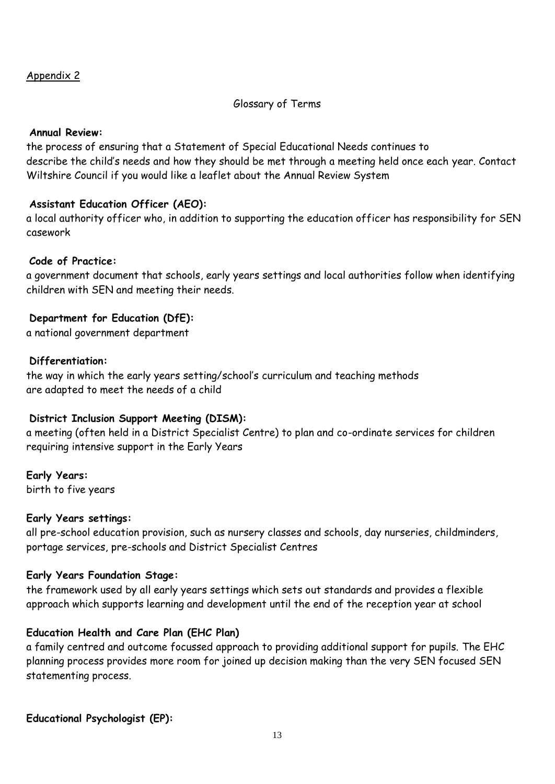## Appendix 2

#### Glossary of Terms

#### **Annual Review:**

the process of ensuring that a Statement of Special Educational Needs continues to describe the child's needs and how they should be met through a meeting held once each year. Contact Wiltshire Council if you would like a leaflet about the Annual Review System

#### **Assistant Education Officer (AEO):**

a local authority officer who, in addition to supporting the education officer has responsibility for SEN casework

#### **Code of Practice:**

a government document that schools, early years settings and local authorities follow when identifying children with SEN and meeting their needs.

#### **Department for Education (DfE):**

a national government department

#### **Differentiation:**

the way in which the early years setting/school's curriculum and teaching methods are adapted to meet the needs of a child

#### **District Inclusion Support Meeting (DISM):**

a meeting (often held in a District Specialist Centre) to plan and co-ordinate services for children requiring intensive support in the Early Years

**Early Years:**  birth to five years

#### **Early Years settings:**

all pre-school education provision, such as nursery classes and schools, day nurseries, childminders, portage services, pre-schools and District Specialist Centres

#### **Early Years Foundation Stage:**

the framework used by all early years settings which sets out standards and provides a flexible approach which supports learning and development until the end of the reception year at school

#### **Education Health and Care Plan (EHC Plan)**

a family centred and outcome focussed approach to providing additional support for pupils. The EHC planning process provides more room for joined up decision making than the very SEN focused SEN statementing process.

**Educational Psychologist (EP):**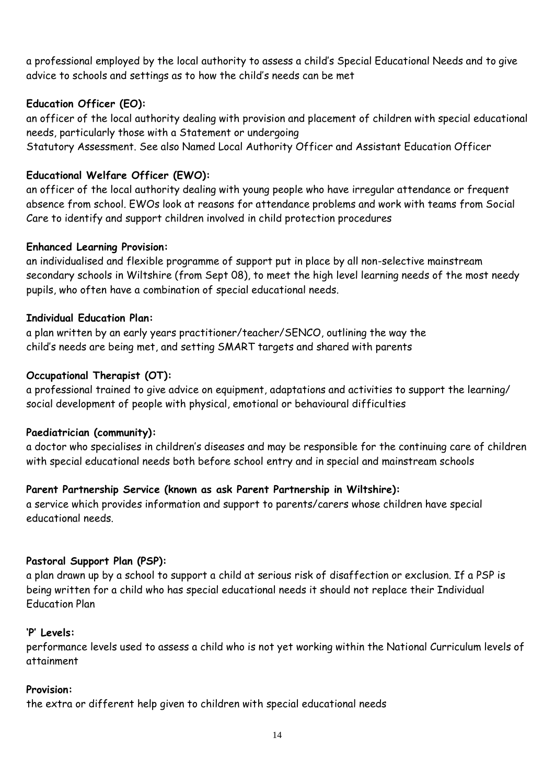a professional employed by the local authority to assess a child's Special Educational Needs and to give advice to schools and settings as to how the child's needs can be met

# **Education Officer (EO):**

an officer of the local authority dealing with provision and placement of children with special educational needs, particularly those with a Statement or undergoing

Statutory Assessment. See also Named Local Authority Officer and Assistant Education Officer

## **Educational Welfare Officer (EWO):**

an officer of the local authority dealing with young people who have irregular attendance or frequent absence from school. EWOs look at reasons for attendance problems and work with teams from Social Care to identify and support children involved in child protection procedures

#### **Enhanced Learning Provision:**

an individualised and flexible programme of support put in place by all non-selective mainstream secondary schools in Wiltshire (from Sept 08), to meet the high level learning needs of the most needy pupils, who often have a combination of special educational needs.

### **Individual Education Plan:**

a plan written by an early years practitioner/teacher/SENCO, outlining the way the child's needs are being met, and setting SMART targets and shared with parents

### **Occupational Therapist (OT):**

a professional trained to give advice on equipment, adaptations and activities to support the learning/ social development of people with physical, emotional or behavioural difficulties

#### **Paediatrician (community):**

a doctor who specialises in children's diseases and may be responsible for the continuing care of children with special educational needs both before school entry and in special and mainstream schools

# **Parent Partnership Service (known as ask Parent Partnership in Wiltshire):**

a service which provides information and support to parents/carers whose children have special educational needs.

# **Pastoral Support Plan (PSP):**

a plan drawn up by a school to support a child at serious risk of disaffection or exclusion. If a PSP is being written for a child who has special educational needs it should not replace their Individual Education Plan

#### **'P' Levels:**

performance levels used to assess a child who is not yet working within the National Curriculum levels of attainment

#### **Provision:**

the extra or different help given to children with special educational needs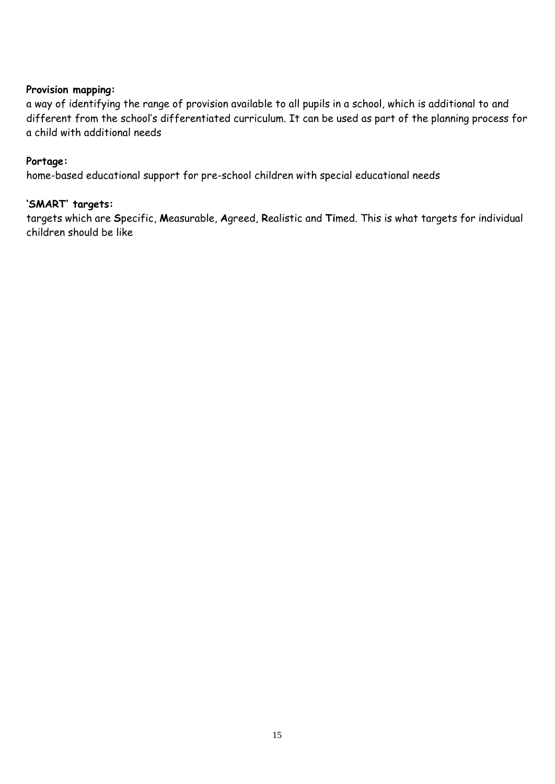#### **Provision mapping:**

a way of identifying the range of provision available to all pupils in a school, which is additional to and different from the school's differentiated curriculum. It can be used as part of the planning process for a child with additional needs

### **Portage:**

home-based educational support for pre-school children with special educational needs

# **'SMART' targets:**

targets which are **S**pecific, **M**easurable, **A**greed, **R**ealistic and **Ti**med. This is what targets for individual children should be like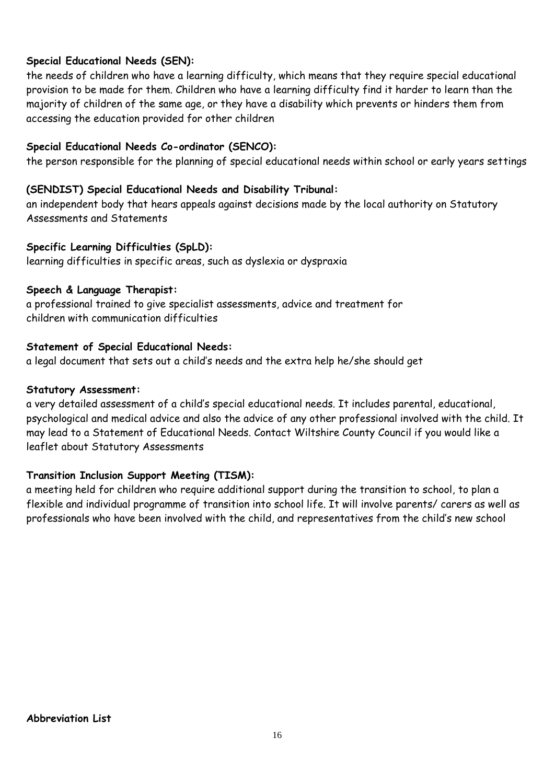## **Special Educational Needs (SEN):**

the needs of children who have a learning difficulty, which means that they require special educational provision to be made for them. Children who have a learning difficulty find it harder to learn than the majority of children of the same age, or they have a disability which prevents or hinders them from accessing the education provided for other children

### **Special Educational Needs Co-ordinator (SENCO):**

the person responsible for the planning of special educational needs within school or early years settings

#### **(SENDIST) Special Educational Needs and Disability Tribunal:**

an independent body that hears appeals against decisions made by the local authority on Statutory Assessments and Statements

#### **Specific Learning Difficulties (SpLD):**

learning difficulties in specific areas, such as dyslexia or dyspraxia

#### **Speech & Language Therapist:**

a professional trained to give specialist assessments, advice and treatment for children with communication difficulties

### **Statement of Special Educational Needs:**

a legal document that sets out a child's needs and the extra help he/she should get

#### **Statutory Assessment:**

a very detailed assessment of a child's special educational needs. It includes parental, educational, psychological and medical advice and also the advice of any other professional involved with the child. It may lead to a Statement of Educational Needs. Contact Wiltshire County Council if you would like a leaflet about Statutory Assessments

# **Transition Inclusion Support Meeting (TISM):**

a meeting held for children who require additional support during the transition to school, to plan a flexible and individual programme of transition into school life. It will involve parents/ carers as well as professionals who have been involved with the child, and representatives from the child's new school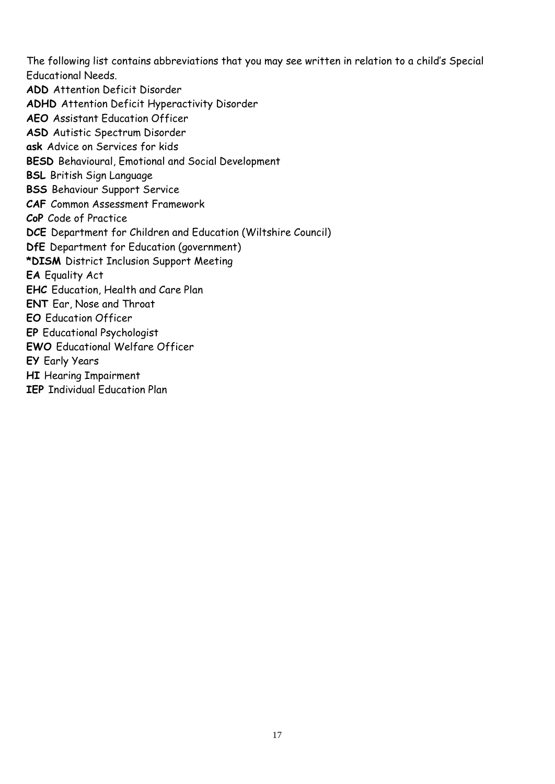The following list contains abbreviations that you may see written in relation to a child's Special Educational Needs.

**ADD** Attention Deficit Disorder **ADHD** Attention Deficit Hyperactivity Disorder **AEO** Assistant Education Officer **ASD** Autistic Spectrum Disorder **ask** Advice on Services for kids **BESD** Behavioural, Emotional and Social Development **BSL** British Sign Language **BSS** Behaviour Support Service **CAF** Common Assessment Framework **CoP** Code of Practice **DCE** Department for Children and Education (Wiltshire Council) **DfE** Department for Education (government) **\*DISM** District Inclusion Support Meeting **EA** Equality Act **EHC** Education, Health and Care Plan **ENT** Ear, Nose and Throat **EO** Education Officer **EP** Educational Psychologist **EWO** Educational Welfare Officer **EY** Early Years **HI** Hearing Impairment **IEP** Individual Education Plan